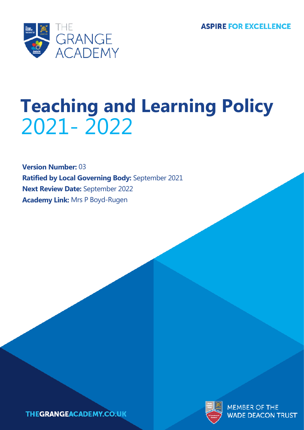**ASPIRE FOR EXCELLENCE** 



# **Teaching and Learning Policy** 2021- 2022

**Version Number:** 03 **Ratified by Local Governing Body:** September 2021 **Next Review Date:** September 2022 **Academy Link:** Mrs P Boyd-Rugen





MEMBER OF THE WADE DEACON TRUST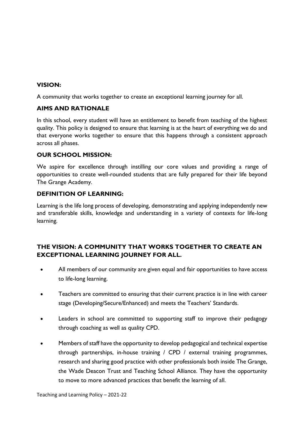#### **VISION:**

A community that works together to create an exceptional learning journey for all.

#### **AIMS AND RATIONALE**

In this school, every student will have an entitlement to benefit from teaching of the highest quality. This policy is designed to ensure that learning is at the heart of everything we do and that everyone works together to ensure that this happens through a consistent approach across all phases.

#### **OUR SCHOOL MISSION:**

We aspire for excellence through instilling our core values and providing a range of opportunities to create well-rounded students that are fully prepared for their life beyond The Grange Academy.

#### **DEFINITION OF LEARNING:**

Learning is the life long process of developing, demonstrating and applying independently new and transferable skills, knowledge and understanding in a variety of contexts for life-long learning.

## **THE VISION: A COMMUNITY THAT WORKS TOGETHER TO CREATE AN EXCEPTIONAL LEARNING JOURNEY FOR ALL.**

- All members of our community are given equal and fair opportunities to have access to life-long learning.
- Teachers are committed to ensuring that their current practice is in line with career stage (Developing/Secure/Enhanced) and meets the Teachers' Standards.
- Leaders in school are committed to supporting staff to improve their pedagogy through coaching as well as quality CPD.
- Members of staff have the opportunity to develop pedagogical and technical expertise through partnerships, in-house training / CPD / external training programmes, research and sharing good practice with other professionals both inside The Grange, the Wade Deacon Trust and Teaching School Alliance. They have the opportunity to move to more advanced practices that benefit the learning of all.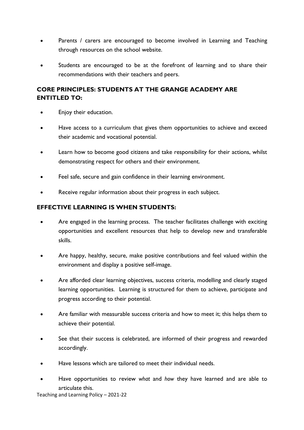- Parents / carers are encouraged to become involved in Learning and Teaching through resources on the school website.
- Students are encouraged to be at the forefront of learning and to share their recommendations with their teachers and peers.

# **CORE PRINCIPLES: STUDENTS AT THE GRANGE ACADEMY ARE ENTITLED TO:**

- Enjoy their education.
- Have access to a curriculum that gives them opportunities to achieve and exceed their academic and vocational potential.
- Learn how to become good citizens and take responsibility for their actions, whilst demonstrating respect for others and their environment.
- Feel safe, secure and gain confidence in their learning environment.
- Receive regular information about their progress in each subject.

## **EFFECTIVE LEARNING IS WHEN STUDENTS:**

- Are engaged in the learning process. The teacher facilitates challenge with exciting opportunities and excellent resources that help to develop new and transferable skills.
- Are happy, healthy, secure, make positive contributions and feel valued within the environment and display a positive self-image.
- Are afforded clear learning objectives, success criteria, modelling and clearly staged learning opportunities. Learning is structured for them to achieve, participate and progress according to their potential.
- Are familiar with measurable success criteria and how to meet it; this helps them to achieve their potential.
- See that their success is celebrated, are informed of their progress and rewarded accordingly.
- Have lessons which are tailored to meet their individual needs.
- Have opportunities to review *what* and *how* they have learned and are able to articulate this.

Teaching and Learning Policy – 2021-22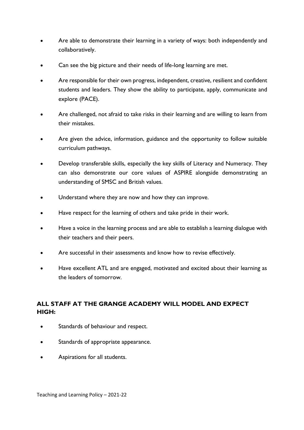- Are able to demonstrate their learning in a variety of ways: both independently and collaboratively.
- Can see the big picture and their needs of life-long learning are met.
- Are responsible for their own progress, independent, creative, resilient and confident students and leaders. They show the ability to participate, apply, communicate and explore (PACE).
- Are challenged, not afraid to take risks in their learning and are willing to learn from their mistakes.
- Are given the advice, information, guidance and the opportunity to follow suitable curriculum pathways.
- Develop transferable skills, especially the key skills of Literacy and Numeracy. They can also demonstrate our core values of ASPIRE alongside demonstrating an understanding of SMSC and British values.
- Understand where they are now and how they can improve.
- Have respect for the learning of others and take pride in their work.
- Have a voice in the learning process and are able to establish a learning dialogue with their teachers and their peers.
- Are successful in their assessments and know how to revise effectively.
- Have excellent ATL and are engaged, motivated and excited about their learning as the leaders of tomorrow.

## **ALL STAFF AT THE GRANGE ACADEMY WILL MODEL AND EXPECT HIGH:**

- Standards of behaviour and respect.
- Standards of appropriate appearance.
- Aspirations for all students.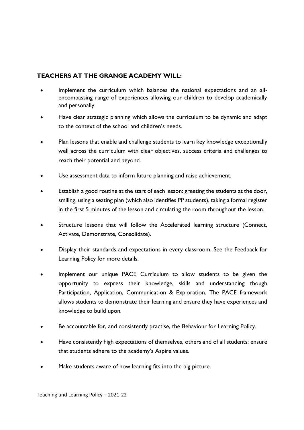## **TEACHERS AT THE GRANGE ACADEMY WILL:**

- Implement the curriculum which balances the national expectations and an allencompassing range of experiences allowing our children to develop academically and personally.
- Have clear strategic planning which allows the curriculum to be dynamic and adapt to the context of the school and children's needs.
- Plan lessons that enable and challenge students to learn key knowledge exceptionally well across the curriculum with clear objectives, success criteria and challenges to reach their potential and beyond.
- Use assessment data to inform future planning and raise achievement.
- Establish a good routine at the start of each lesson: greeting the students at the door, smiling, using a seating plan (which also identifies PP students), taking a formal register in the first 5 minutes of the lesson and circulating the room throughout the lesson.
- Structure lessons that will follow the Accelerated learning structure (Connect, Activate, Demonstrate, Consolidate).
- Display their standards and expectations in every classroom. See the Feedback for Learning Policy for more details.
- Implement our unique PACE Curriculum to allow students to be given the opportunity to express their knowledge, skills and understanding though Participation, Application, Communication & Exploration. The PACE framework allows students to demonstrate their learning and ensure they have experiences and knowledge to build upon.
- Be accountable for, and consistently practise, the Behaviour for Learning Policy.
- Have consistently high expectations of themselves, others and of all students; ensure that students adhere to the academy's Aspire values.
- Make students aware of how learning fits into the big picture.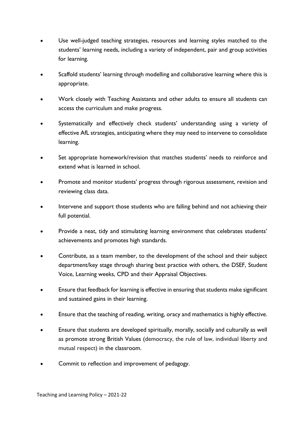- Use well-judged teaching strategies, resources and learning styles matched to the students' learning needs, including a variety of independent, pair and group activities for learning.
- Scaffold students' learning through modelling and collaborative learning where this is appropriate.
- Work closely with Teaching Assistants and other adults to ensure all students can access the curriculum and make progress.
- Systematically and effectively check students' understanding using a variety of effective AfL strategies, anticipating where they may need to intervene to consolidate learning.
- Set appropriate homework/revision that matches students' needs to reinforce and extend what is learned in school.
- Promote and monitor students' progress through rigorous assessment, revision and reviewing class data.
- Intervene and support those students who are falling behind and not achieving their full potential.
- Provide a neat, tidy and stimulating learning environment that celebrates students' achievements and promotes high standards.
- Contribute, as a team member, to the development of the school and their subject department/key stage through sharing best practice with others, the DSEF, Student Voice, Learning weeks, CPD and their Appraisal Objectives.
- Ensure that feedback for learning is effective in ensuring that students make significant and sustained gains in their learning.
- Ensure that the teaching of reading, writing, oracy and mathematics is highly effective.
- Ensure that students are developed spiritually, morally, socially and culturally as well as promote strong British Values (democracy, the rule of law, individual liberty and mutual respect) in the classroom.
- Commit to reflection and improvement of pedagogy.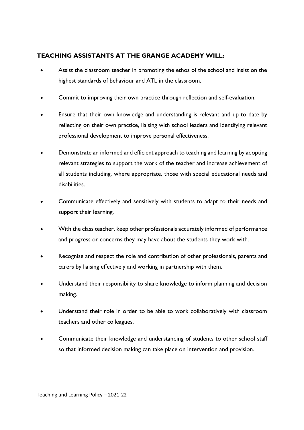#### **TEACHING ASSISTANTS AT THE GRANGE ACADEMY WILL:**

- Assist the classroom teacher in promoting the ethos of the school and insist on the highest standards of behaviour and ATL in the classroom.
- Commit to improving their own practice through reflection and self-evaluation.
- Ensure that their own knowledge and understanding is relevant and up to date by reflecting on their own practice, liaising with school leaders and identifying relevant professional development to improve personal effectiveness.
- Demonstrate an informed and efficient approach to teaching and learning by adopting relevant strategies to support the work of the teacher and increase achievement of all students including, where appropriate, those with special educational needs and disabilities.
- Communicate effectively and sensitively with students to adapt to their needs and support their learning.
- With the class teacher, keep other professionals accurately informed of performance and progress or concerns they may have about the students they work with.
- Recognise and respect the role and contribution of other professionals, parents and carers by liaising effectively and working in partnership with them.
- Understand their responsibility to share knowledge to inform planning and decision making.
- Understand their role in order to be able to work collaboratively with classroom teachers and other colleagues.
- Communicate their knowledge and understanding of students to other school staff so that informed decision making can take place on intervention and provision.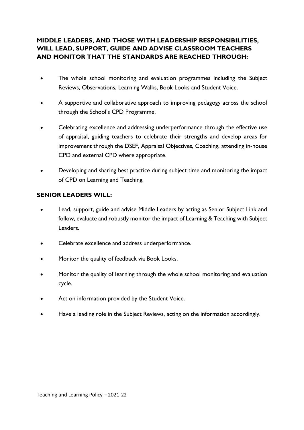## **MIDDLE LEADERS, AND THOSE WITH LEADERSHIP RESPONSIBILITIES, WILL LEAD, SUPPORT, GUIDE AND ADVISE CLASSROOM TEACHERS AND MONITOR THAT THE STANDARDS ARE REACHED THROUGH:**

- The whole school monitoring and evaluation programmes including the Subject Reviews, Observations, Learning Walks, Book Looks and Student Voice.
- A supportive and collaborative approach to improving pedagogy across the school through the School's CPD Programme.
- Celebrating excellence and addressing underperformance through the effective use of appraisal, guiding teachers to celebrate their strengths and develop areas for improvement through the DSEF, Appraisal Objectives, Coaching, attending in-house CPD and external CPD where appropriate.
- Developing and sharing best practice during subject time and monitoring the impact of CPD on Learning and Teaching.

#### **SENIOR LEADERS WILL:**

- Lead, support, guide and advise Middle Leaders by acting as Senior Subject Link and follow, evaluate and robustly monitor the impact of Learning & Teaching with Subject Leaders.
- Celebrate excellence and address underperformance.
- Monitor the quality of feedback via Book Looks.
- Monitor the quality of learning through the whole school monitoring and evaluation cycle.
- Act on information provided by the Student Voice.
- Have a leading role in the Subject Reviews, acting on the information accordingly.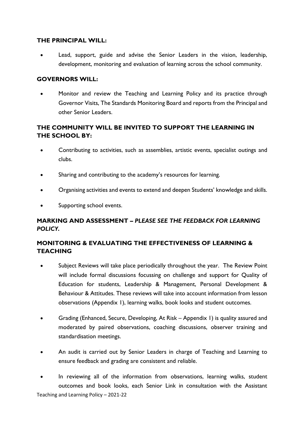#### **THE PRINCIPAL WILL:**

Lead, support, guide and advise the Senior Leaders in the vision, leadership, development, monitoring and evaluation of learning across the school community.

#### **GOVERNORS WILL:**

• Monitor and review the Teaching and Learning Policy and its practice through Governor Visits, The Standards Monitoring Board and reports from the Principal and other Senior Leaders.

## **THE COMMUNITY WILL BE INVITED TO SUPPORT THE LEARNING IN THE SCHOOL BY:**

- Contributing to activities, such as assemblies, artistic events, specialist outings and clubs.
- Sharing and contributing to the academy's resources for learning.
- Organising activities and events to extend and deepen Students' knowledge and skills.
- Supporting school events.

#### **MARKING AND ASSESSMENT –** *PLEASE SEE THE FEEDBACK FOR LEARNING POLICY.*

## **MONITORING & EVALUATING THE EFFECTIVENESS OF LEARNING & TEACHING**

- Subject Reviews will take place periodically throughout the year. The Review Point will include formal discussions focussing on challenge and support for Quality of Education for students, Leadership & Management, Personal Development & Behaviour & Attitudes. These reviews will take into account information from lesson observations (Appendix 1), learning walks, book looks and student outcomes.
- Grading (Enhanced, Secure, Developing, At Risk Appendix 1) is quality assured and moderated by paired observations, coaching discussions, observer training and standardisation meetings.
- An audit is carried out by Senior Leaders in charge of Teaching and Learning to ensure feedback and grading are consistent and reliable.
- Teaching and Learning Policy 2021-22 In reviewing all of the information from observations, learning walks, student outcomes and book looks, each Senior Link in consultation with the Assistant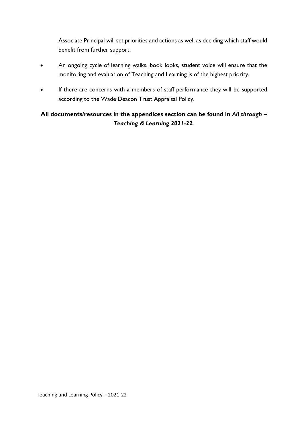Associate Principal will set priorities and actions as well as deciding which staff would benefit from further support.

- An ongoing cycle of learning walks, book looks, student voice will ensure that the monitoring and evaluation of Teaching and Learning is of the highest priority.
- If there are concerns with a members of staff performance they will be supported according to the Wade Deacon Trust Appraisal Policy.

# **All documents/resources in the appendices section can be found in** *All through – Teaching & Learning 2021-22.*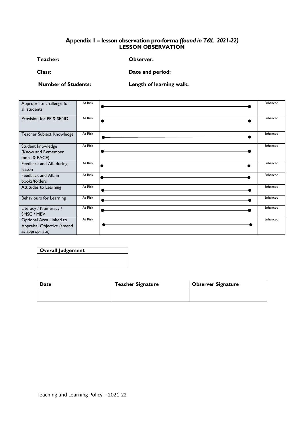#### **Appendix 1 – lesson observation pro-forma** *(found in T&L 2021-22)* **LESSON OBSERVATION**

**Teacher: Observer:** 

**Class: Date and period:**

**Number of Students: Length of learning walk:**

| Appropriate challenge for<br>all students                                | At Risk | Enhanced |
|--------------------------------------------------------------------------|---------|----------|
| Provision for PP & SEND                                                  | At Risk | Enhanced |
| Teacher Subject Knowledge                                                | At Risk | Enhanced |
| Student knowledge<br>(Know and Remember<br>more & PACE)                  | At Risk | Enhanced |
| Feedback and AfL during<br>lesson                                        | At Risk | Enhanced |
| Feedback and AfL in<br>books/folders                                     | At Risk | Enhanced |
| Attitudes to Learning                                                    | At Risk | Enhanced |
| Behaviours for Learning                                                  | At Risk | Enhanced |
| Literacy / Numeracy /<br>SMSC / MBV                                      | At Risk | Enhanced |
| Optional Area Linked to<br>Appraisal Objective (amend<br>as appropriate) | At Risk | Enhanced |

# **Overall Judgement**

| Date | <b>Teacher Signature</b> | <b>Observer Signature</b> |
|------|--------------------------|---------------------------|
|      |                          |                           |
|      |                          |                           |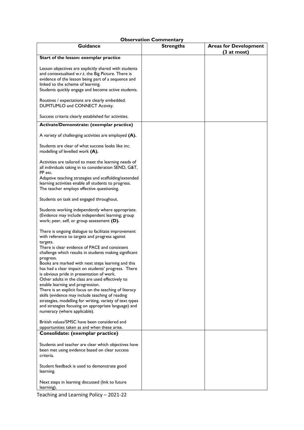#### **Observation Commentary**

| Guidance                                                                                                                                                                                                                                                                                                                                                                                                                                                                                                                                                                                                                                                                                                                                                        | <b>Strengths</b> | <b>Areas for Development</b> |
|-----------------------------------------------------------------------------------------------------------------------------------------------------------------------------------------------------------------------------------------------------------------------------------------------------------------------------------------------------------------------------------------------------------------------------------------------------------------------------------------------------------------------------------------------------------------------------------------------------------------------------------------------------------------------------------------------------------------------------------------------------------------|------------------|------------------------------|
|                                                                                                                                                                                                                                                                                                                                                                                                                                                                                                                                                                                                                                                                                                                                                                 |                  | $(3$ at most)                |
| Start of the lesson: exemplar practice                                                                                                                                                                                                                                                                                                                                                                                                                                                                                                                                                                                                                                                                                                                          |                  |                              |
| Lesson objectives are explicitly shared with students<br>and contextualised w.r.t. the Big Picture. There is<br>evidence of the lesson being part of a sequence and<br>linked to the scheme of learning.<br>Students quickly engage and become active students.                                                                                                                                                                                                                                                                                                                                                                                                                                                                                                 |                  |                              |
| Routines / expectations are clearly embedded.<br>DUMTUMLO and CONNECT Activity.                                                                                                                                                                                                                                                                                                                                                                                                                                                                                                                                                                                                                                                                                 |                  |                              |
| Success criteria clearly established for activities.                                                                                                                                                                                                                                                                                                                                                                                                                                                                                                                                                                                                                                                                                                            |                  |                              |
| Activate/Demonstrate: (exemplar practice)                                                                                                                                                                                                                                                                                                                                                                                                                                                                                                                                                                                                                                                                                                                       |                  |                              |
| A variety of challenging activities are employed (A).                                                                                                                                                                                                                                                                                                                                                                                                                                                                                                                                                                                                                                                                                                           |                  |                              |
| Students are clear of what success looks like inc.<br>modelling of levelled work (A).                                                                                                                                                                                                                                                                                                                                                                                                                                                                                                                                                                                                                                                                           |                  |                              |
| Activities are tailored to meet the learning needs of<br>all individuals taking in to consideration SEND, G&T,<br>PP etc.                                                                                                                                                                                                                                                                                                                                                                                                                                                                                                                                                                                                                                       |                  |                              |
| Adaptive teaching strategies and scaffolding/extended<br>learning activities enable all students to progress.<br>The teacher employs effective questioning.                                                                                                                                                                                                                                                                                                                                                                                                                                                                                                                                                                                                     |                  |                              |
| Students on task and engaged throughout.                                                                                                                                                                                                                                                                                                                                                                                                                                                                                                                                                                                                                                                                                                                        |                  |                              |
| Students working independently where appropriate.<br>(Evidence may include independent learning; group<br>work; peer, self, or group assessment (D).                                                                                                                                                                                                                                                                                                                                                                                                                                                                                                                                                                                                            |                  |                              |
| There is ongoing dialogue to facilitate improvement<br>with reference to targets and progress against<br>targets.<br>There is clear evidence of PACE and consistent<br>challenge which results in students making significant<br>progress.<br>Books are marked with next steps learning and this<br>has had a clear impact on students' progress. There<br>is obvious pride in presentation of work.<br>Other adults in the class are used effectively to<br>enable learning and progression.<br>There is an explicit focus on the teaching of literacy<br>skills (evidence may include teaching of reading<br>strategies, modelling for writing, variety of text types<br>and strategies focusing on appropriate language) and<br>numeracy (where applicable). |                  |                              |
| British values/SMSC have been considered and<br>opportunities taken as and when these arise.                                                                                                                                                                                                                                                                                                                                                                                                                                                                                                                                                                                                                                                                    |                  |                              |
| Consolidate: (exemplar practice)                                                                                                                                                                                                                                                                                                                                                                                                                                                                                                                                                                                                                                                                                                                                |                  |                              |
| Students and teacher are clear which objectives have<br>been met using evidence based on clear success<br>criteria.                                                                                                                                                                                                                                                                                                                                                                                                                                                                                                                                                                                                                                             |                  |                              |
| Student feedback is used to demonstrate good<br>learning.                                                                                                                                                                                                                                                                                                                                                                                                                                                                                                                                                                                                                                                                                                       |                  |                              |
| Next steps in learning discussed (link to future<br>learning).                                                                                                                                                                                                                                                                                                                                                                                                                                                                                                                                                                                                                                                                                                  |                  |                              |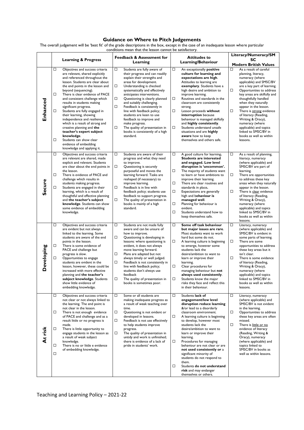#### **Guidance on Where to Pitch Judgements**

The overall judgement will be 'best fit' of the grade descriptions in the box, except in the case of an inadequate lesson where particular conditions mean that the lesson cannot be satisfactory.

|            |                                                                                                                                                                                                                                                                                                                                                                                                                                                                                                                                                                                                                                            | <b>Feedback &amp; Assessment for</b>                                                                                                                                                                                                                                                                                                                                                                                                                                                                                               | <b>Attitudes to</b>                                                                                                                                                                                                                                                                                                                                                                                                                                                                                                                                               | Literacy/Numeracy/SM                                                                                                                                                                                                                                                                                                                                                                                                                                               |
|------------|--------------------------------------------------------------------------------------------------------------------------------------------------------------------------------------------------------------------------------------------------------------------------------------------------------------------------------------------------------------------------------------------------------------------------------------------------------------------------------------------------------------------------------------------------------------------------------------------------------------------------------------------|------------------------------------------------------------------------------------------------------------------------------------------------------------------------------------------------------------------------------------------------------------------------------------------------------------------------------------------------------------------------------------------------------------------------------------------------------------------------------------------------------------------------------------|-------------------------------------------------------------------------------------------------------------------------------------------------------------------------------------------------------------------------------------------------------------------------------------------------------------------------------------------------------------------------------------------------------------------------------------------------------------------------------------------------------------------------------------------------------------------|--------------------------------------------------------------------------------------------------------------------------------------------------------------------------------------------------------------------------------------------------------------------------------------------------------------------------------------------------------------------------------------------------------------------------------------------------------------------|
|            | <b>Learning &amp; Progress</b>                                                                                                                                                                                                                                                                                                                                                                                                                                                                                                                                                                                                             | Learning                                                                                                                                                                                                                                                                                                                                                                                                                                                                                                                           | Learning/Behaviour                                                                                                                                                                                                                                                                                                                                                                                                                                                                                                                                                | SC<br><b>Modern British Values</b>                                                                                                                                                                                                                                                                                                                                                                                                                                 |
| Enhanced   | □<br>Objectives and success criteria<br>are relevant, shared explicitly<br>and referenced throughout the<br>lesson. Students are clear about<br>the end points in the lesson and<br>beyond (sequencing).<br>□<br>There is clear evidence of PACE<br>and consistent challenge which<br>results in students making<br>significant progress.<br>□<br>Students are fully engaged in<br>their learning, showing<br>independence and resilience<br>which is a result of strong and<br>creative planning and the<br>teacher's expert subject<br>knowledge.<br>□<br>Students can show clear<br>evidence of embedding<br>knowledge and applying it. | Students are fully aware of<br>□<br>their progress and can readily<br>explain their strengths and<br>areas for development.<br>□<br>Understanding is checked<br>systematically and effectively<br>anticipates interventions.<br>□<br>Questioning is clearly planned<br>and suitably challenging.<br>□<br>Feedback is consistently in<br>line with feedback policy;<br>students are keen to use<br>feedback to improve and<br>make progress.<br>□<br>The quality of presentation in<br>books is consistently of a high<br>standard. | $\Box$<br>An exceptionally positive<br>culture for learning and<br>expectations are high.<br>Attitudes to learning are<br>exemplary. Students have a<br>high desire and ambition to<br>improve learning.<br>□<br>Routines and standards in the<br>classroom are consistently<br>strong.<br>$\Box$<br>Lesson proceeds without<br>interruption because<br>behaviour is managed skilfully<br>and highly consistently.<br>$\Box$<br>Students understand unsafe<br>situations and are highly<br>aware how to keep<br>themselves and others safe.                       | As a result of careful<br>□<br>planning, literacy,<br>numeracy (where<br>applicable) and SMSC/BV<br>are a key part of learning.<br>□<br>Opportunities to address<br>key areas are skilfully and<br>thoughtfully handled<br>when they naturally<br>appear in the lesson.<br>□<br>There is strong evidence<br>of literacy (Reading,<br>Writing & Oracy),<br>numeracy (where<br>applicable) and topics<br>linked to SMSC/BV in<br>books as well as within<br>lessons. |
| Secure     | □<br>Objectives and success criteria<br>are relevant are shared, made<br>explicit and relevant. Students<br>are clear about the end points in<br>the lesson.<br>□<br>There is evidence of PACE and<br>challenge which results in<br>students making progress.<br>□<br>Students are engaged in their<br>learning, which is a result of<br>thoughtful and effective planning<br>and the teacher's subject<br>knowledge. Students can show<br>some evidence of embedding<br>knowledge.                                                                                                                                                        | □<br>Students are aware of their<br>progress and what they need<br>to improve.<br>□<br>Questioning is securely<br>purposeful and moves the<br>learning forward. Tasks are<br>reshaped (if necessary) to<br>improve learning.<br>□<br>Feedback is in line with<br>feedback policy; students use<br>feedback to support progress.<br>□<br>The quality of presentation in<br>books is mainly of a high<br>standard.                                                                                                                   | □<br>A good culture for learning.<br><b>Students are interested</b><br>and engaged. Low level<br>disruption is 'uncommon'.<br>$\Box$<br>The majority of students want<br>to learn or have ambitions to<br>improve their learning.<br>□<br>There are clear routines and<br>standards in place.<br>□<br>Expectations are generally<br>high and behaviour is<br>managed well.<br>□<br>Planning for behaviour is<br>evident.<br>$\Box$<br>Students understand how to<br>keep themselves safe.                                                                         | □<br>As a result of planning,<br>literacy, numeracy<br>(where applicable) and<br>SMSC/BV are part of<br>learning.<br>□<br>There are opportunities<br>to address these key<br>areas when they naturally<br>appear in the lesson.<br>□<br>There is clear evidence<br>of literacy (Reading,<br>Writing & Oracy),<br>numeracy (where<br>applicable) and topics<br>linked to SMSC/BV in<br>books as well as within<br>lessons.                                          |
| Developing | □<br>Objectives and success criteria<br>are evident but not always<br>linked to the learning. Some<br>students are aware of the end<br>points in the lesson.<br>□<br>There is some evidence of<br>PACE and challenge but<br>progress is slow.<br>□<br>Opportunities to engage<br>students are evident in the<br>lesson, however, these could be<br>increased with more effective<br>planning and the teacher's<br>subject knowledge. Students<br>show little evidence of<br>embedding knowledge.                                                                                                                                           | □<br>Students are not made fully<br>aware and can be unsure of<br>how to improve.<br>□<br>Questioning is developing in<br>lessons: where questioning is<br>evident, it does not always<br>move learning forward.<br>□<br>Plans are adapted but not<br>always timely or well judged.<br>□<br>Feedback is not consistently in<br>line with feedback policy;<br>students don't always use<br>feedback<br>□<br>The quality of presentation in<br>books is sometimes poor.                                                              | □<br>Some off task behaviour<br>but major issues are rare.<br>Most students want to work<br>hard but some do not.<br>□<br>A learning culture is beginning<br>to emerge, however some<br>students lack the<br>desire/ambition to want to<br>learn or improve their<br>learning.<br>□<br>Clear procedures for<br>managing behaviour but not<br>always used consistently.<br>$\Box$<br>Students know the major<br>risks they face and reflect this<br>in their behaviour.                                                                                            | □<br>Literacy, numeracy<br>(where applicable) and<br>SMSC/BV is evident in<br>some parts of learning.<br>□<br>There are some<br>opportunities to address<br>these key areas but it<br>isn't clear.<br>□<br>There is some evidence<br>of literacy (Reading,<br>Writing & Oracy),<br>numeracy (where<br>applicable) and topics<br>linked to SMSC/BV in<br>books as well as within<br>lessons.                                                                        |
| At risk    | □<br>Objectives and success criteria<br>not clear or not always linked to<br>the learning. The end point is<br>not clear in the lesson.<br>There is not enough evidence<br>□<br>of PACE and challenge and as a<br>result little or no progress is<br>made.<br>$\Box$<br>There is little opportunity to<br>engage students in the lesson as<br>a result of weak subject<br>knowledge.<br>There is no or little e evidence<br>□<br>of embedding knowledge.<br>$\Box$                                                                                                                                                                         | □<br>Some or all students are<br>making inadequate progress as<br>a result of weak teaching over<br>time.<br>□<br>Questioning is not evident or<br>developed in lessons.<br>□<br>Feedback is not use effectively<br>to help students improve<br>progress.<br>□<br>The quality of presentation in<br>untidy and work is unfinished;<br>there is evidence of a lack of<br>pride in students' work.                                                                                                                                   | □<br>Students lack of<br>engagement/low level<br>disruption reduce learning<br>&/or lead to a disorderly<br>classroom environment.<br>$\Box$<br>A learning culture is beginning<br>to develop, however most<br>students lack the<br>desire/ambition to want to<br>learn or improve their<br>learning.<br>$\Box$<br>Procedures for managing<br>behaviour are not clear or are<br>not used consistently or a<br>significant minority of<br>students do not respond to<br>them.<br>□<br>Students do not understand<br>risk and may endanger<br>themselves or others. | □<br>Literacy, numeracy<br>(where applicable) and<br>SMSC/BV is not evident<br>in the learning.<br>$\Box$<br>Opportunities to address<br>these key areas are often<br>missed.<br>$\Box$<br>There is little or no<br>evidence of literacy<br>(Reading, Writing &<br>Oracy), numeracy<br>(where applicable) and<br>topics linked to<br>SMSC/BV in books as<br>well as within lessons.                                                                                |